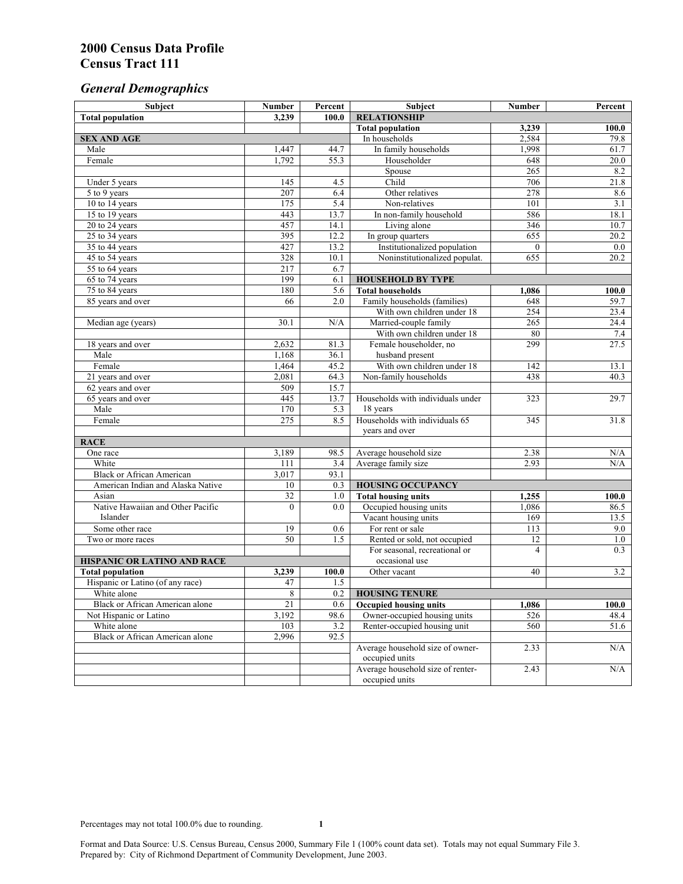# *General Demographics*

| Subject                           | <b>Number</b>    | Percent    | Subject                                             | <b>Number</b>  | Percent       |
|-----------------------------------|------------------|------------|-----------------------------------------------------|----------------|---------------|
| <b>Total population</b>           | 3,239            | 100.0      | <b>RELATIONSHIP</b>                                 |                |               |
|                                   |                  |            | <b>Total population</b>                             | 3,239          | 100.0         |
| <b>SEX AND AGE</b>                |                  |            | In households                                       | 2,584          | 79.8          |
| Male                              | 1,447            | 44.7       | In family households                                | 1,998          | 61.7          |
| Female                            | 1,792            | 55.3       | Householder                                         | 648            | 20.0          |
|                                   |                  |            | Spouse                                              | 265            | 8.2           |
| Under 5 years                     | 145              | 4.5        | Child                                               | 706            | 21.8          |
| 5 to 9 years                      | $\overline{207}$ | 6.4        | Other relatives                                     | 278            | 8.6           |
| 10 to 14 years                    | 175              | 5.4        | Non-relatives                                       | 101            | 3.1           |
| 15 to 19 years                    | 443              | 13.7       | In non-family household                             | 586            | 18.1          |
| 20 to 24 years                    | 457              | 14.1       | Living alone                                        | 346            | 10.7          |
| $25 \text{ to } 34$ years         | 395              | 12.2       | In group quarters                                   | 655            | 20.2          |
| 35 to 44 years                    | 427              | 13.2       | Institutionalized population                        | $\theta$       | 0.0           |
| 45 to 54 years                    | 328              | 10.1       | Noninstitutionalized populat.                       | 655            | 20.2          |
| 55 to 64 years                    | 217              | 6.7        |                                                     |                |               |
| 65 to 74 years                    | 199<br>180       | 6.1        | <b>HOUSEHOLD BY TYPE</b><br><b>Total households</b> |                |               |
| 75 to 84 years                    | 66               | 5.6<br>2.0 | Family households (families)                        | 1,086<br>648   | 100.0<br>59.7 |
| 85 years and over                 |                  |            | With own children under 18                          | 254            |               |
|                                   | 30.1             | N/A        | Married-couple family                               | 265            | 23.4<br>24.4  |
| Median age (years)                |                  |            | With own children under 18                          | 80             | $7.4$         |
|                                   | 2,632            | 81.3       | Female householder, no                              | 299            | 27.5          |
| 18 years and over<br>Male         | 1,168            | 36.1       | husband present                                     |                |               |
| Female                            | 1,464            | 45.2       | With own children under 18                          | 142            | 13.1          |
| 21 years and over                 | 2,081            | 64.3       | Non-family households                               | 438            | 40.3          |
| 62 years and over                 | 509              | 15.7       |                                                     |                |               |
| 65 years and over                 | 445              | 13.7       | Households with individuals under                   | 323            | 29.7          |
| Male                              | 170              | 5.3        | 18 years                                            |                |               |
| Female                            | 275              | 8.5        | Households with individuals 65                      | 345            | 31.8          |
|                                   |                  |            | years and over                                      |                |               |
| <b>RACE</b>                       |                  |            |                                                     |                |               |
| One race                          | 3,189            | 98.5       | Average household size                              | 2.38           | $\rm N/A$     |
| White                             | 111              | 3.4        | Average family size                                 | 2.93           | N/A           |
| <b>Black or African American</b>  | 3,017            | 93.1       |                                                     |                |               |
| American Indian and Alaska Native | 10               | 0.3        | <b>HOUSING OCCUPANCY</b>                            |                |               |
| Asian                             | $\overline{32}$  | 1.0        | <b>Total housing units</b>                          | 1,255          | 100.0         |
| Native Hawaiian and Other Pacific | $\theta$         | 0.0        | Occupied housing units                              | 1,086          | 86.5          |
| Islander                          |                  |            | Vacant housing units                                | 169            | 13.5          |
| Some other race                   | 19               | 0.6        | For rent or sale                                    | 113            | 9.0           |
| Two or more races                 | $\overline{50}$  | 1.5        | Rented or sold, not occupied                        | 12             | 1.0           |
|                                   |                  |            | For seasonal, recreational or                       | $\overline{4}$ | 0.3           |
| HISPANIC OR LATINO AND RACE       |                  |            | occasional use                                      |                |               |
| <b>Total population</b>           | 3,239            | 100.0      | Other vacant                                        | 40             | 3.2           |
| Hispanic or Latino (of any race)  | 47               | 1.5        |                                                     |                |               |
| White alone                       | 8                | 0.2        | <b>HOUSING TENURE</b>                               |                |               |
| Black or African American alone   | 21               | 0.6        | <b>Occupied housing units</b>                       | 1,086          | 100.0         |
| Not Hispanic or Latino            | 3,192            | 98.6       | Owner-occupied housing units                        | 526            | 48.4          |
| White alone                       | 103              | 3.2        | Renter-occupied housing unit                        | 560            | 51.6          |
| Black or African American alone   | 2,996            | 92.5       |                                                     |                |               |
|                                   |                  |            | Average household size of owner-                    | 2.33           | N/A           |
|                                   |                  |            | occupied units                                      |                |               |
|                                   |                  |            | Average household size of renter-                   | 2.43           | N/A           |
|                                   |                  |            | occupied units                                      |                |               |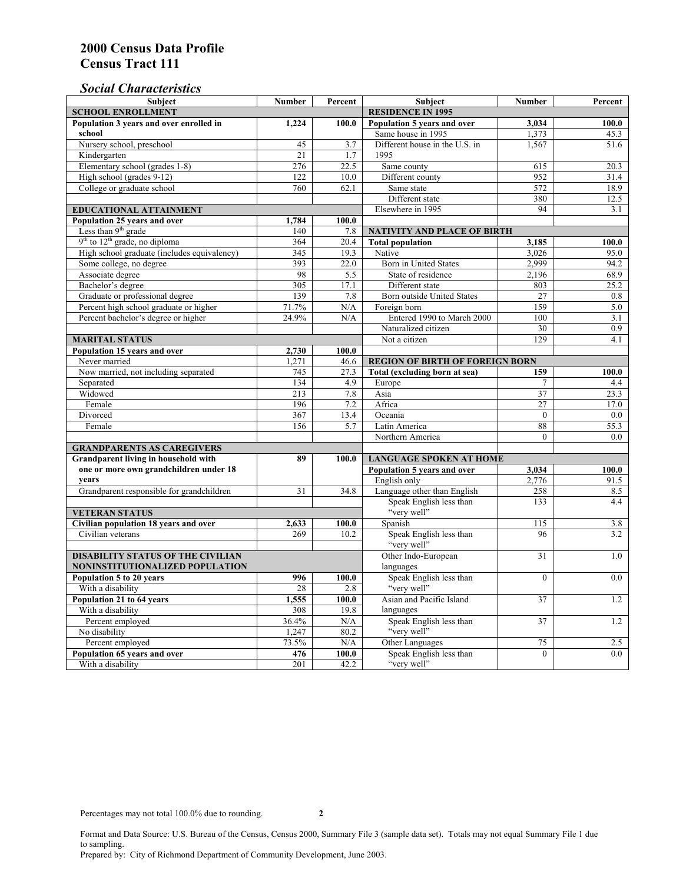## *Social Characteristics*

| <b>Subject</b>                                      | <b>Number</b>            | Percent | <b>Subject</b>                         | <b>Number</b>  | Percent |
|-----------------------------------------------------|--------------------------|---------|----------------------------------------|----------------|---------|
| <b>SCHOOL ENROLLMENT</b>                            | <b>RESIDENCE IN 1995</b> |         |                                        |                |         |
| Population 3 years and over enrolled in             | 1,224                    | 100.0   | Population 5 years and over            | 3,034          | 100.0   |
| school                                              |                          |         | Same house in 1995                     | 1,373          | 45.3    |
| Nursery school, preschool                           | 45                       | 3.7     | Different house in the U.S. in         | 1,567          | 51.6    |
| Kindergarten                                        | 21                       | 1.7     | 1995                                   |                |         |
| Elementary school (grades 1-8)                      | 276                      | 22.5    | Same county                            | 615            | 20.3    |
| High school (grades 9-12)                           | 122                      | 10.0    | Different county                       | 952            | 31.4    |
| College or graduate school                          | 760                      | 62.1    | Same state                             | 572            | 18.9    |
|                                                     |                          |         | Different state                        | 380            | 12.5    |
| EDUCATIONAL ATTAINMENT                              |                          |         | Elsewhere in 1995                      | 94             | 3.1     |
| Population 25 years and over                        | 1,784                    | 100.0   |                                        |                |         |
| Less than 9 <sup>th</sup> grade                     | 140                      | 7.8     | NATIVITY AND PLACE OF BIRTH            |                |         |
| $9th$ to $12th$ grade, no diploma                   | 364                      | 20.4    | <b>Total population</b>                | 3,185          | 100.0   |
| High school graduate (includes equivalency)         | 345                      | 19.3    | Native                                 | 3,026          | 95.0    |
| Some college, no degree                             | 393                      | 22.0    | Born in United States                  | 2,999          | 94.2    |
| Associate degree                                    | 98                       | 5.5     | State of residence                     | 2,196          | 68.9    |
| Bachelor's degree                                   | 305                      | 17.1    | Different state                        | 803            | 25.2    |
| Graduate or professional degree                     | 139                      | 7.8     | Born outside United States             | 27             | 0.8     |
| Percent high school graduate or higher              | 71.7%                    | N/A     | Foreign born                           | 159            | 5.0     |
| Percent bachelor's degree or higher                 | 24.9%                    | N/A     | Entered 1990 to March 2000             | 100            | 3.1     |
|                                                     |                          |         | Naturalized citizen                    | 30             | 0.9     |
| <b>MARITAL STATUS</b>                               | Not a citizen            | 129     | 4.1                                    |                |         |
| Population 15 years and over                        | 2,730                    | 100.0   |                                        |                |         |
| Never married                                       | 1,271                    | 46.6    | <b>REGION OF BIRTH OF FOREIGN BORN</b> |                |         |
| Now married, not including separated                | 745                      | 27.3    | <b>Total (excluding born at sea)</b>   | 159            | 100.0   |
| Separated                                           | 134                      | 4.9     | Europe                                 | 7              | 4.4     |
| Widowed                                             | 213                      | 7.8     | Asia                                   | 37             | 23.3    |
| Female                                              | 196                      | 7.2     | Africa                                 | 27             | 17.0    |
| Divorced                                            | 367                      | 13.4    | Oceania                                | $\Omega$       | 0.0     |
| Female                                              | 156                      | 5.7     | Latin America                          | 88             | 55.3    |
|                                                     |                          |         | Northern America                       | $\theta$       | 0.0     |
| <b>GRANDPARENTS AS CAREGIVERS</b>                   |                          |         |                                        |                |         |
| Grandparent living in household with<br>89<br>100.0 |                          |         | <b>LANGUAGE SPOKEN AT HOME</b>         |                |         |
| one or more own grandchildren under 18              |                          |         | Population 5 years and over            | 3,034          | 100.0   |
| years                                               |                          |         | English only                           | 2,776          | 91.5    |
| Grandparent responsible for grandchildren           | 31                       | 34.8    | Language other than English            | 258            | 8.5     |
|                                                     |                          |         | Speak English less than                | 133            | 4.4     |
| <b>VETERAN STATUS</b>                               |                          |         | "very well"                            |                |         |
| Civilian population 18 years and over               | 2,633                    | 100.0   | Spanish                                | 115            | 3.8     |
| Civilian veterans                                   | 269                      | 10.2    | Speak English less than                | 96             | 3.2     |
|                                                     |                          |         | "very well"                            |                |         |
| <b>DISABILITY STATUS OF THE CIVILIAN</b>            | Other Indo-European      | 31      | 1.0                                    |                |         |
| NONINSTITUTIONALIZED POPULATION                     | languages                |         |                                        |                |         |
| Population 5 to 20 years                            | 996                      | 100.0   | Speak English less than                | $\mathbf{0}$   | 0.0     |
| With a disability                                   | 28                       | 2.8     | "very well"                            |                |         |
| Population 21 to 64 years                           | 1,555                    | 100.0   | Asian and Pacific Island               | 37             | 1.2     |
| With a disability                                   | 308                      | 19.8    | languages                              |                |         |
| Percent employed                                    | 36.4%                    | N/A     | Speak English less than                | 37             | 1.2     |
| No disability                                       | 1,247                    | 80.2    | "very well"                            |                |         |
| Percent employed                                    | 73.5%                    | N/A     | Other Languages                        | 75             | 2.5     |
| Population 65 years and over                        | 476                      | 100.0   | Speak English less than                | $\overline{0}$ | 0.0     |
| With a disability                                   | 201                      | 42.2    | "very well"                            |                |         |

Format and Data Source: U.S. Bureau of the Census, Census 2000, Summary File 3 (sample data set). Totals may not equal Summary File 1 due to sampling.

Prepared by: City of Richmond Department of Community Development, June 2003.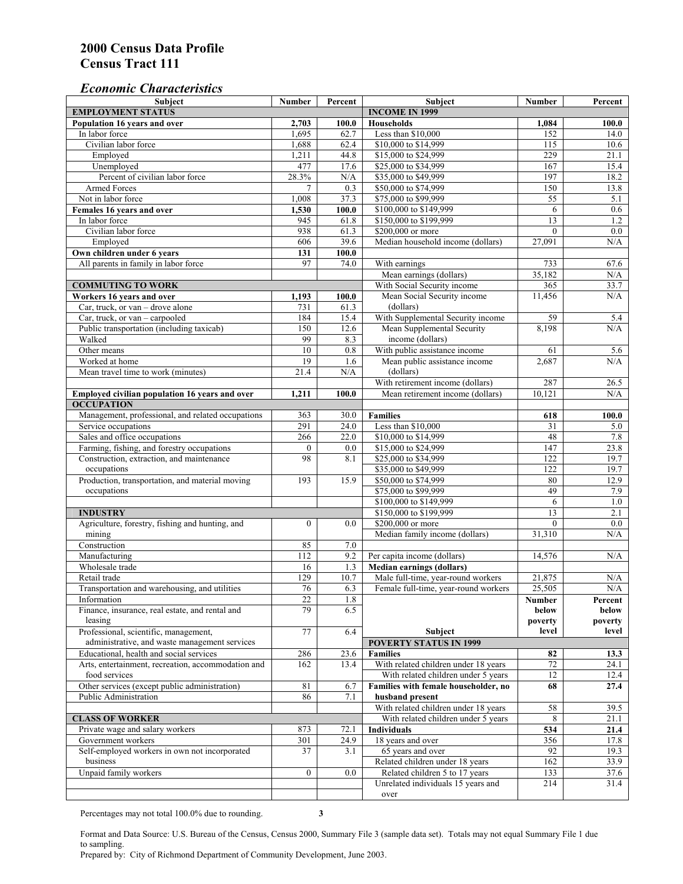#### *Economic Characteristics*

| <b>Subject</b>                                     | Number           | Percent | Subject                              | Number       | Percent |
|----------------------------------------------------|------------------|---------|--------------------------------------|--------------|---------|
| <b>EMPLOYMENT STATUS</b>                           |                  |         | <b>INCOME IN 1999</b>                |              |         |
| Population 16 years and over                       | 2,703            | 100.0   | Households                           | 1,084        | 100.0   |
| In labor force                                     | 1,695            | 62.7    | Less than \$10,000                   | 152          | 14.0    |
| Civilian labor force                               | 1,688            | 62.4    | \$10,000 to \$14,999                 | 115          | 10.6    |
| Employed                                           | 1,211            | 44.8    | \$15,000 to \$24,999                 | 229          | 21.1    |
| Unemployed                                         | 477              | 17.6    | \$25,000 to \$34,999                 | 167          | 15.4    |
| Percent of civilian labor force                    | 28.3%            | N/A     | \$35,000 to \$49,999                 | 197          | 18.2    |
| Armed Forces                                       | $\overline{7}$   | 0.3     | \$50,000 to \$74,999                 | 150          | 13.8    |
| Not in labor force                                 | 1,008            | 37.3    | \$75,000 to \$99,999                 | 55           | 5.1     |
| Females 16 years and over                          | 1,530            | 100.0   | \$100,000 to \$149,999               | 6            | 0.6     |
| In labor force                                     | 945              | 61.8    | \$150,000 to \$199,999               | 13           | 1.2     |
| Civilian labor force                               | 938              | 61.3    | \$200,000 or more                    | $\mathbf{0}$ | 0.0     |
| Employed                                           | 606              | 39.6    | Median household income (dollars)    | 27,091       | N/A     |
| Own children under 6 years                         | 131              | 100.0   |                                      |              |         |
| All parents in family in labor force               | 97               | 74.0    | With earnings                        | 733          | 67.6    |
|                                                    |                  |         | Mean earnings (dollars)              | 35,182       | N/A     |
| <b>COMMUTING TO WORK</b>                           |                  |         | With Social Security income          | 365          | 33.7    |
| Workers 16 years and over                          | 1,193            | 100.0   | Mean Social Security income          | 11,456       | N/A     |
| Car, truck, or van – drove alone                   | 731              | 61.3    | (dollars)                            |              |         |
| Car, truck, or van - carpooled                     | 184              | 15.4    | With Supplemental Security income    | 59           | 5.4     |
| Public transportation (including taxicab)          | 150              | 12.6    | Mean Supplemental Security           | 8,198        | N/A     |
| Walked                                             | 99               | 8.3     | income (dollars)                     |              |         |
| Other means                                        | 10               | $0.8\,$ | With public assistance income        | 61           | 5.6     |
| Worked at home                                     | 19               | 1.6     | Mean public assistance income        | 2,687        | N/A     |
| Mean travel time to work (minutes)                 | 21.4             | N/A     | (dollars)                            |              |         |
|                                                    |                  |         | With retirement income (dollars)     | 287          | 26.5    |
| Employed civilian population 16 years and over     | 1,211            | 100.0   | Mean retirement income (dollars)     | 10,121       | N/A     |
| <b>OCCUPATION</b>                                  |                  |         |                                      |              |         |
| Management, professional, and related occupations  | 363              | 30.0    | <b>Families</b>                      | 618          | 100.0   |
| Service occupations                                | 291              | 24.0    | Less than \$10,000                   | 31           | 5.0     |
| Sales and office occupations                       | 266              | 22.0    | \$10,000 to \$14,999                 | 48           | 7.8     |
| Farming, fishing, and forestry occupations         | $\boldsymbol{0}$ | 0.0     | \$15,000 to \$24,999                 | 147          | 23.8    |
| Construction, extraction, and maintenance          | 98               | 8.1     | \$25,000 to \$34,999                 | 122          | 19.7    |
| occupations                                        |                  |         | \$35,000 to \$49,999                 | 122          | 19.7    |
| Production, transportation, and material moving    | 193              | 15.9    | \$50,000 to \$74,999                 | 80           | 12.9    |
| occupations                                        |                  |         | \$75,000 to \$99,999                 | 49           | 7.9     |
|                                                    |                  |         | \$100,000 to \$149,999               | 6            | 1.0     |
| <b>INDUSTRY</b>                                    |                  |         | \$150,000 to \$199,999               | 13           | 2.1     |
| Agriculture, forestry, fishing and hunting, and    | $\boldsymbol{0}$ | 0.0     | \$200,000 or more                    | $\theta$     | 0.0     |
| mining                                             |                  |         | Median family income (dollars)       | 31,310       | N/A     |
| Construction                                       | 85               | 7.0     |                                      |              |         |
| Manufacturing                                      | 112              | 9.2     | Per capita income (dollars)          | 14,576       | N/A     |
| Wholesale trade                                    | 16               | 1.3     | <b>Median earnings (dollars)</b>     |              |         |
| Retail trade                                       | 129              | 10.7    | Male full-time, year-round workers   | 21,875       | N/A     |
| Transportation and warehousing, and utilities      | 76               | 6.3     | Female full-time, year-round workers | 25,505       | N/A     |
| Information                                        | 22               | 1.8     |                                      | Number       | Percent |
| Finance, insurance, real estate, and rental and    | 79               | 6.5     |                                      | below        | below   |
| leasing                                            |                  |         |                                      | poverty      | poverty |
| Professional, scientific, management,              | 77               | 6.4     | Subject                              | level        | level   |
| administrative, and waste management services      |                  |         | <b>POVERTY STATUS IN 1999</b>        |              |         |
| Educational, health and social services            | 286              | 23.6    | <b>Families</b>                      | 82           | 13.3    |
| Arts, entertainment, recreation, accommodation and | 162              | 13.4    | With related children under 18 years | $72\,$       | 24.1    |
| food services                                      |                  |         | With related children under 5 years  | 12           | 12.4    |
| Other services (except public administration)      | 81               | 6.7     | Families with female householder, no | 68           | 27.4    |
| Public Administration                              | 86               | 7.1     | husband present                      |              |         |
|                                                    |                  |         | With related children under 18 years | 58           | 39.5    |
| <b>CLASS OF WORKER</b>                             |                  |         | With related children under 5 years  | 8            | 21.1    |
| Private wage and salary workers                    | 873              | 72.1    | Individuals                          | 534          | 21.4    |
| Government workers                                 | 301              | 24.9    | 18 years and over                    | 356          | 17.8    |
| Self-employed workers in own not incorporated      | 37               | 3.1     | 65 years and over                    | 92           | 19.3    |
| business                                           |                  |         | Related children under 18 years      | 162          | 33.9    |
| Unpaid family workers                              | $\boldsymbol{0}$ | 0.0     | Related children 5 to 17 years       | 133          | 37.6    |
|                                                    |                  |         | Unrelated individuals 15 years and   | 214          | 31.4    |
|                                                    |                  |         | over                                 |              |         |
|                                                    |                  |         |                                      |              |         |

Percentages may not total 100.0% due to rounding. **3** 

Format and Data Source: U.S. Bureau of the Census, Census 2000, Summary File 3 (sample data set). Totals may not equal Summary File 1 due to sampling.

Prepared by: City of Richmond Department of Community Development, June 2003.